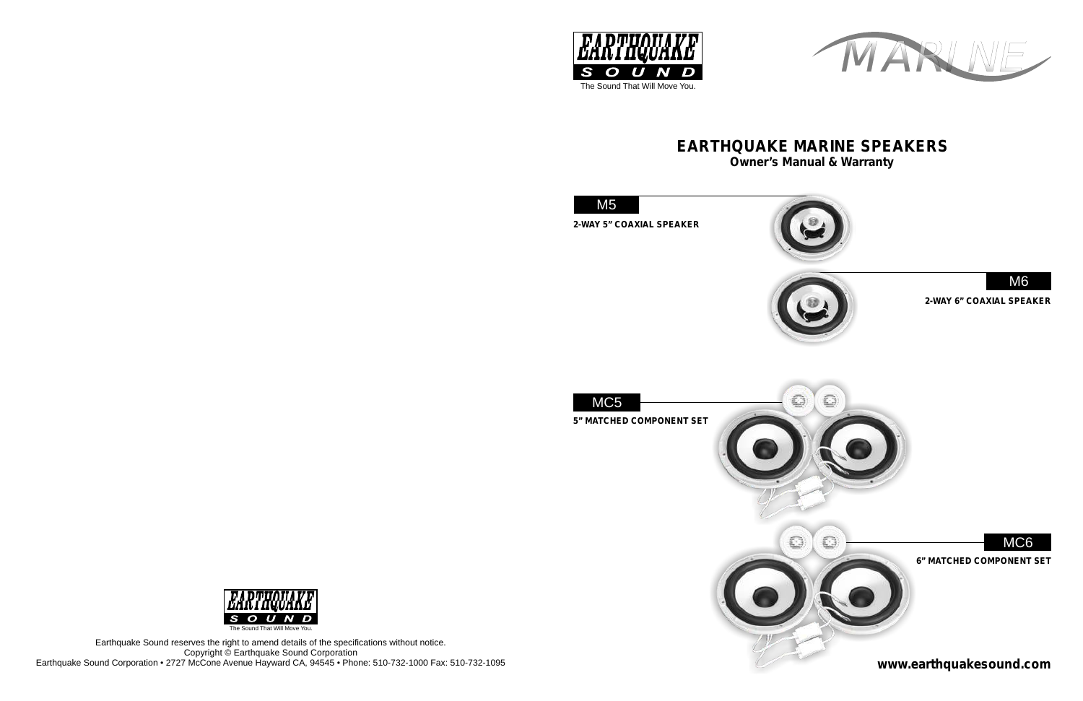MARINE



Earthquake Sound reserves the right to amend details of the specifications without notice. Copyright © Earthquake Sound Corporation Earthquake Sound Corporation • 2727 McCone Avenue Hayward CA, 94545 • Phone: 510-732-1000 Fax: 510-732-1095











# **Owner's Manual & Warranty EARTHQUAKE MARINE SPEAKERS**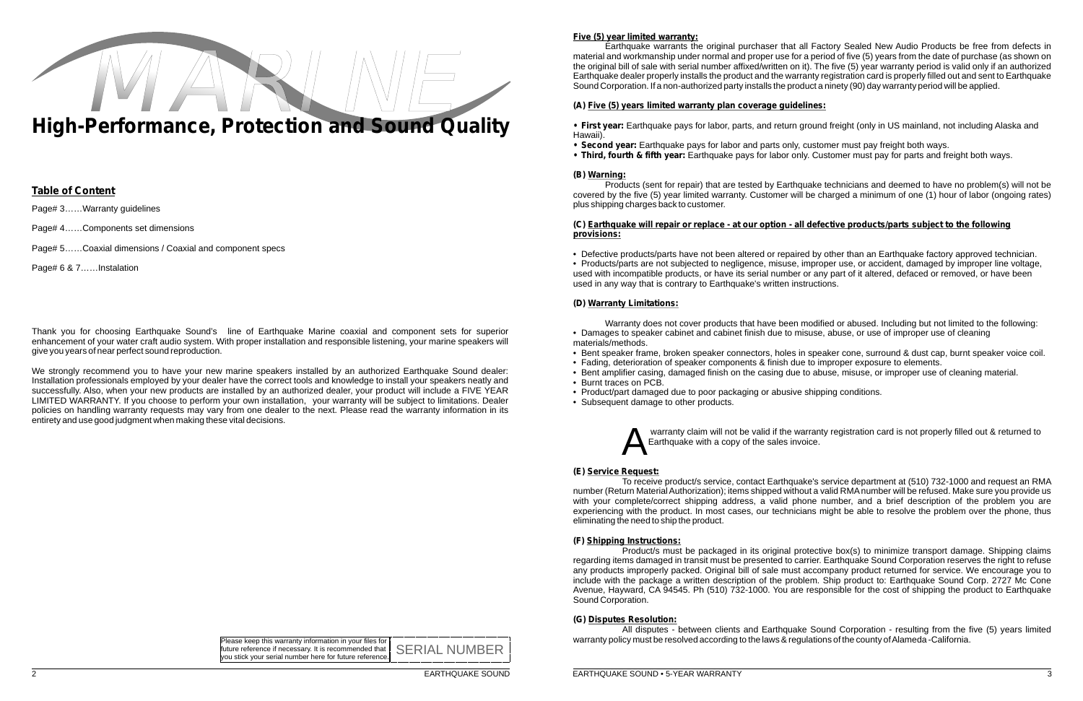# **Five (5) year limited warranty:**

Earthquake warrants the original purchaser that all Factory Sealed New Audio Products be free from defects in material and workmanship under normal and proper use for a period of five (5) years from the date of purchase (as shown on the original bill of sale with serial number affixed/written on it). The five (5) year warranty period is valid only if an authorized Earthquake dealer properly installs the product and the warranty registration card is properly filled out and sent to Earthquake Sound Corporation. If a non-authorized party installs the product a ninety (90) day warranty period will be applied.

### **(A) Five (5) years limited warranty plan coverage guidelines:**

**• First year:** Earthquake pays for labor, parts, and return ground freight (only in US mainland, not including Alaska and

- Hawaii).
- **Second year:** Earthquake pays for labor and parts only, customer must pay freight both ways.
- **Third, fourth & fifth year:** Earthquake pays for labor only. Customer must pay for parts and freight both ways.

### **(B) Warning:**

Products (sent for repair) that are tested by Earthquake technicians and deemed to have no problem(s) will not be covered by the five (5) year limited warranty. Customer will be charged a minimum of one (1) hour of labor (ongoing rates) plus shipping charges back to customer.

### **(C) Earthquake will repair or replace - at our option - all defective products/parts subject to the following provisions:**

• Defective products/parts have not been altered or repaired by other than an Earthquake factory approved technician. • Products/parts are not subjected to negligence, misuse, improper use, or accident, damaged by improper line voltage, used with incompatible products, or have its serial number or any part of it altered, defaced or removed, or have been used in any way that is contrary to Earthquake's written instructions.

### **(D) Warranty Limitations:**

Warranty does not cover products that have been modified or abused. Including but not limited to the following: • Damages to speaker cabinet and cabinet finish due to misuse, abuse, or use of improper use of cleaning materials/methods.

• Bent speaker frame, broken speaker connectors, holes in speaker cone, surround & dust cap, burnt speaker voice coil. • Bent amplifier casing, damaged finish on the casing due to abuse, misuse, or improper use of cleaning material.

- 
- Fading, deterioration of speaker components & finish due to improper exposure to elements.
- 
- Burnt traces on PCB.
- Product/part damaged due to poor packaging or abusive shipping conditions.
- Subsequent damage to other products.

warranty claim will not be valid if the warranty registration card is not properly filled out & returned to Earthquake with a copy of the sales invoice.

We strongly recommend you to have your new marine speakers installed by an authorized Earthquake Sound dealer: Installation professionals employed by your dealer have the correct tools and knowledge to install your speakers neatly and successfully. Also, when your new products are installed by an authorized dealer, your product will include a FIVE YEAR LIMITED WARRANTY. If you choose to perform your own installation, your warranty will be subject to limitations. Dealer policies on handling warranty requests may vary from one dealer to the next. Please read the warranty information in its entirety and use good judgment when making these vital decisions.

> Please keep this warranty information in your files for future reference if necessary. It is recommended that future reference if necessary. It is recommended that SERIAL NUMBE<br>vou stick your serial number here for future reference.



### **(E) Service Request:**

To receive product/s service, contact Earthquake's service department at (510) 732-1000 and request an RMA number (Return Material Authorization); items shipped without a valid RMAnumber will be refused. Make sure you provide us with your complete/correct shipping address, a valid phone number, and a brief description of the problem you are experiencing with the product. In most cases, our technicians might be able to resolve the problem over the phone, thus eliminating the need to ship the product.

### **(F) Shipping Instructions:**

Product/s must be packaged in its original protective box(s) to minimize transport damage. Shipping claims regarding items damaged in transit must be presented to carrier. Earthquake Sound Corporation reserves the right to refuse any products improperly packed. Original bill of sale must accompany product returned for service. We encourage you to include with the package a written description of the problem. Ship product to: Earthquake Sound Corp. 2727 Mc Cone Avenue, Hayward, CA 94545. Ph (510) 732-1000. You are responsible for the cost of shipping the product to Earthquake Sound Corporation.

### **(G) Disputes Resolution:**

All disputes - between clients and Earthquake Sound Corporation - resulting from the five (5) years limited warranty policy must be resolved according to the laws & regulations of the county of Alameda -California.

Page# 4……Components set dimensions

Page# 5……Coaxial dimensions / Coaxial and component specs

Page# 6 & 7……Instalation

### **Table of Content**

Page# 3......Warranty guidelines

Thank you for choosing Earthquake Sound's line of Earthquake Marine coaxial and component sets for superior enhancement of your water craft audio system. With proper installation and responsible listening, your marine speakers will give you years of near perfect sound reproduction.

# **High-Performance, Protection and Sound Quality**

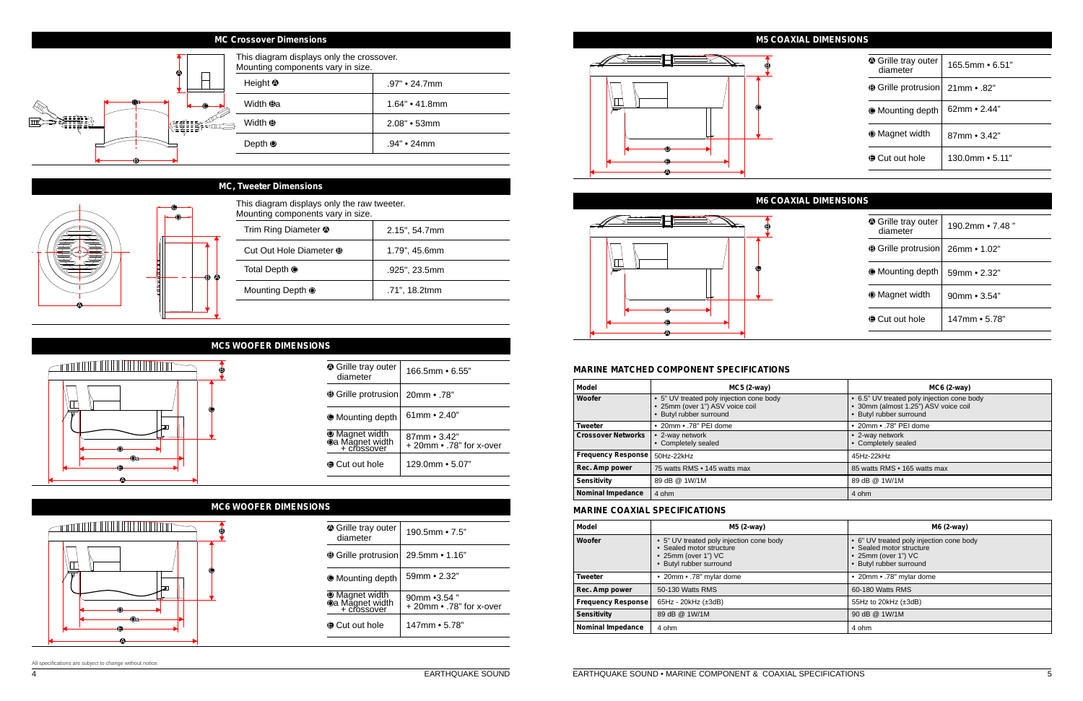### All specifications are subject to change without notice.

### **MC, Tweeter Dimensions**

| This diagram displays only the raw tweeter.<br>Mounting components vary in size. |                  |
|----------------------------------------------------------------------------------|------------------|
| Trim Ring Diameter <sup>1</sup>                                                  | $2.15$ ", 54.7mm |
| Cut Out Hole Diameter <sup>3</sup>                                               | 1.79", 45.6mm    |
| Total Depth <sup>@</sup>                                                         | .925", 23.5mm    |
| Mounting Depth <sup>®</sup>                                                      | .71", 18.2tmm    |
|                                                                                  |                  |

|  | This diagram disp<br>Mounting compon |
|--|--------------------------------------|
|  | Trim Ring Diame                      |
|  | Cut Out Hole Di                      |
|  | Total Depth <sup>@</sup>             |
|  | <b>Mounting Depth</b>                |
|  |                                      |



### **MC Crossover Dimensions**

# $\overline{\mathbf{e}}$  $\sqrt{1}$ C

**A** Grille tray outer diameter

 $\bullet$  Mounting depth

### **MC5 WOOFER DIMENSIONS**

| $166.5$ mm $\bullet$ 6.55"               |
|------------------------------------------|
| 20mm • .78"                              |
| $61$ mm $\cdot$ 2.40"                    |
| 87mm • 3.42"<br>+ 20mm • .78" for x-over |
| $129.0$ mm $\bullet$ 5.07"               |
|                                          |

E A

Da D

190.5mm • 7.5"

## **MC6 WOOFER DIMENSIONS**  $\begin{picture}(100,100) \put(0,0){\line(1,0){10}} \put(10,0){\line(1,0){10}} \put(10,0){\line(1,0){10}} \put(10,0){\line(1,0){10}} \put(10,0){\line(1,0){10}} \put(10,0){\line(1,0){10}} \put(10,0){\line(1,0){10}} \put(10,0){\line(1,0){10}} \put(10,0){\line(1,0){10}} \put(10,0){\line(1,0){10}} \put(10,0){\line(1,0){10}} \put(10,0){\line$ B IД C اس D Da E

B Grille protrusion 29.5mm • 1.16"

**D** Magnet width

**D**a Magnet wid<br><u>+ crossover</u>

59mm • 2.32"

 $\odot$  Cut out hole

 $\overline{a}$ 

147mm • 5.78"

90mm •3.54 "

A

 $+ 20$ mm $\cdot$  .78" for x-over

### **M5 COAXIAL DIMENSIONS**

| <b>▲ Grille tray outer</b><br>diameter | $165.5$ mm $\bullet$ 6.51" |
|----------------------------------------|----------------------------|
| <b>B</b> Grille protrusion             | $21$ mm $\cdot$ .82"       |
| ● Mounting depth                       | $62mm \cdot 2.44"$         |
| <b>I</b> Magnet width                  | $87mm \cdot 3.42"$         |
| <b>● Cut out hole</b>                  | $130.0$ mm $\bullet$ 5.11" |

### **M6 COAXIAL DIMENSIONS**

| ♦ Grille tray outer<br>diameter | 190.2mm • 7.48 "         |
|---------------------------------|--------------------------|
| <b>● Grille protrusion</b>      | $26mm \cdot 1.02"$       |
| ● Mounting depth                | 59mm • 2.32"             |
| <b>I</b> Magnet width           | 90mm $\cdot$ 3.54"       |
| <b>A</b> Cut out hole           | $147$ mm $\bullet$ 5.78" |
|                                 |                          |



# B ١Ш C D E A



### **MARINE MATCHED COMPONENT SPECIFICATIONS**

| <b>Model</b>              | $MC5$ (2-way)                                                                                        | $MC6$ (2-way)                                                                                                 |
|---------------------------|------------------------------------------------------------------------------------------------------|---------------------------------------------------------------------------------------------------------------|
| Woofer                    | • 5" UV treated poly injection cone body<br>• 25mm (over 1") ASV voice coil<br>Butyl rubber surround | • 6.5" UV treated poly injection cone body<br>· 30mm (almost 1.25") ASV voice coil<br>• Butyl rubber surround |
| <b>Tweeter</b>            | • 20mm • .78" PEI dome                                                                               | • 20mm • .78" PEI dome                                                                                        |
| <b>Crossover Networks</b> | • 2-way network<br>• Completely sealed                                                               | • 2-way network<br>• Completely sealed                                                                        |
| <b>Frequency Response</b> | 50Hz-22kHz                                                                                           | 45Hz-22kHz                                                                                                    |
| Rec. Amp power            | 75 watts RMS • 145 watts max                                                                         | 85 watts RMS • 165 watts max                                                                                  |
| <b>Sensitivity</b>        | 89 dB @ 1W/1M                                                                                        | 89 dB @ 1W/1M                                                                                                 |
| <b>Nominal Impedance</b>  | 4 ohm                                                                                                | 4 ohm                                                                                                         |

### **MARINE COAXIAL SPECIFICATIONS**

| <b>Model</b>              | M5 (2-way)                                                                                                             | M6 (2-way)                                                                                                                     |
|---------------------------|------------------------------------------------------------------------------------------------------------------------|--------------------------------------------------------------------------------------------------------------------------------|
| Woofer                    | • 5" UV treated poly injection cone body<br>• Sealed motor structure<br>• 25mm (over 1") VC<br>• Butyl rubber surround | • 6" UV treated poly injection cone body<br>• Sealed motor structure<br>$\bullet$ 25mm (over 1") VC<br>• Butyl rubber surround |
| <b>Tweeter</b>            | • 20mm • .78" mylar dome                                                                                               | • 20mm • .78" mylar dome                                                                                                       |
| Rec. Amp power            | 50-130 Watts RMS                                                                                                       | 60-180 Watts RMS                                                                                                               |
| <b>Frequency Response</b> | $65Hz - 20kHz$ ( $\pm 3dB$ )                                                                                           | 55Hz to 20 $k$ Hz $(\pm 3d)$                                                                                                   |
| <b>Sensitivity</b>        | 89 dB @ 1W/1M                                                                                                          | 90 dB @ 1W/1M                                                                                                                  |
| <b>Nominal Impedance</b>  | 4 ohm                                                                                                                  | 4 ohm                                                                                                                          |